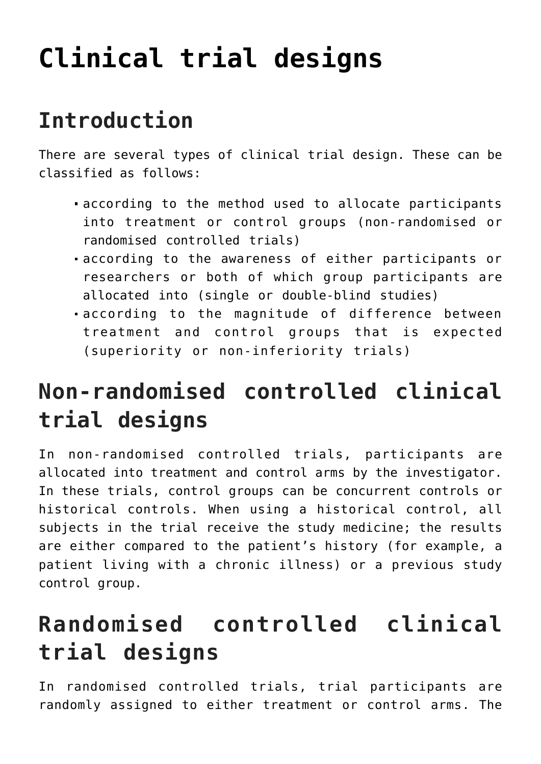# **[Clinical trial designs](https://toolbox.eupati.eu/resources/clinical-trial-designs/)**

# **Introduction**

There are several types of clinical trial design. These can be classified as follows:

- according to the method used to allocate participants into treatment or control groups (non-randomised or randomised controlled trials)
- according to the awareness of either participants or researchers or both of which group participants are allocated into (single or double-blind studies)
- according to the magnitude of difference between treatment and control groups that is expected (superiority or non-inferiority trials)

### **Non-randomised controlled clinical trial designs**

In non-randomised controlled trials, participants are allocated into treatment and control arms by the investigator. In these trials, control groups can be concurrent controls or historical controls. When using a historical control, all subjects in the trial receive the study medicine; the results are either compared to the patient's history (for example, a patient living with a chronic illness) or a previous study control group.

## **Randomised controlled clinical trial designs**

In randomised controlled trials, trial participants are randomly assigned to either treatment or control arms. The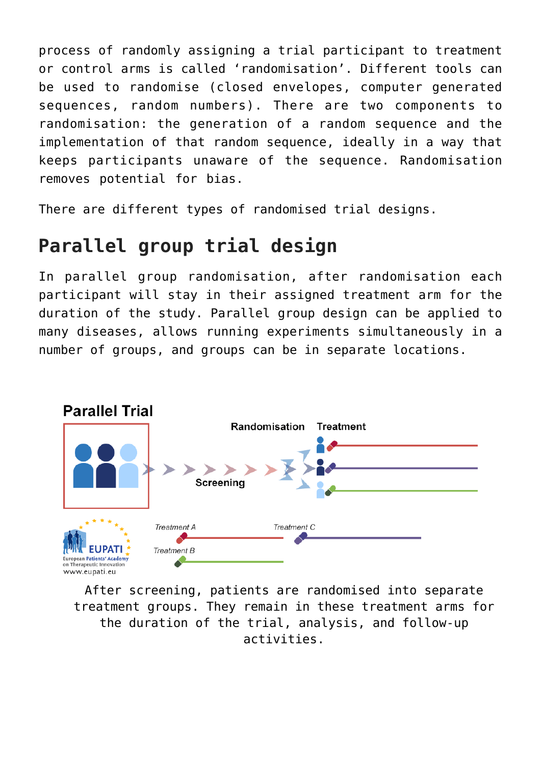process of randomly assigning a trial participant to treatment or control arms is called 'randomisation'. Different tools can be used to randomise (closed envelopes, computer generated sequences, random numbers). There are two components to randomisation: the generation of a random sequence and the implementation of that random sequence, ideally in a way that keeps participants unaware of the sequence. Randomisation removes potential for bias.

There are different types of randomised trial designs.

### **Parallel group trial design**

In parallel group randomisation, after randomisation each participant will stay in their assigned treatment arm for the duration of the study. Parallel group design can be applied to many diseases, allows running experiments simultaneously in a number of groups, and groups can be in separate locations.



After screening, patients are randomised into separate treatment groups. They remain in these treatment arms for the duration of the trial, analysis, and follow-up activities.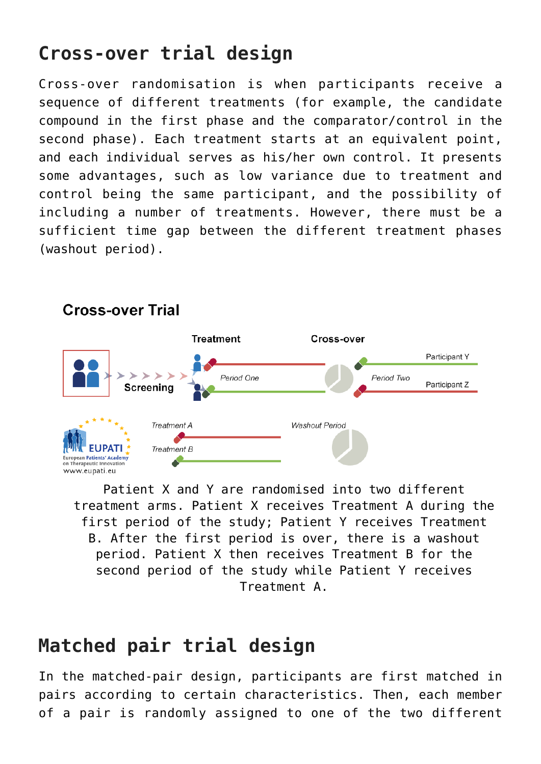### **Cross-over trial design**

Cross-over randomisation is when participants receive a sequence of different treatments (for example, the candidate compound in the first phase and the comparator/control in the second phase). Each treatment starts at an equivalent point, and each individual serves as his/her own control. It presents some advantages, such as low variance due to treatment and control being the same participant, and the possibility of including a number of treatments. However, there must be a sufficient time gap between the different treatment phases (washout period).



**Cross-over Trial** 

Patient X and Y are randomised into two different treatment arms. Patient X receives Treatment A during the first period of the study; Patient Y receives Treatment B. After the first period is over, there is a washout period. Patient X then receives Treatment B for the second period of the study while Patient Y receives Treatment A.

#### **Matched pair trial design**

In the matched-pair design, participants are first matched in pairs according to certain characteristics. Then, each member of a pair is randomly assigned to one of the two different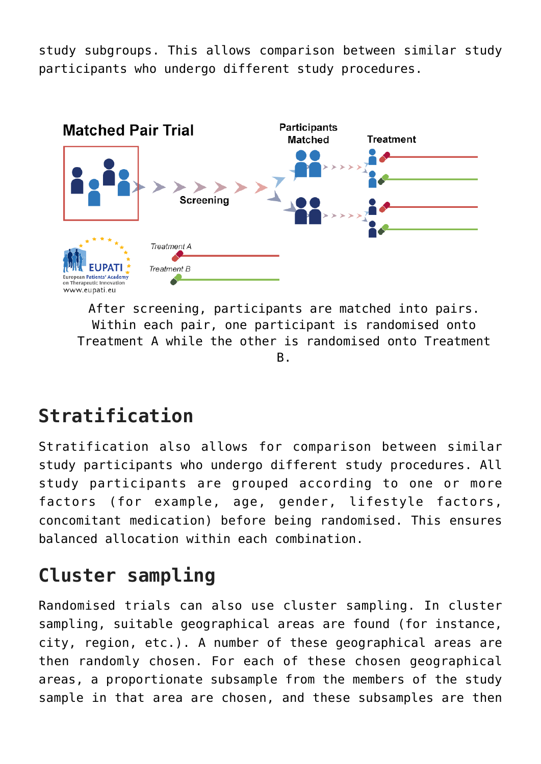study subgroups. This allows comparison between similar study participants who undergo different study procedures.



After screening, participants are matched into pairs. Within each pair, one participant is randomised onto Treatment A while the other is randomised onto Treatment B.

### **Stratification**

Stratification also allows for comparison between similar study participants who undergo different study procedures. All study participants are grouped according to one or more factors (for example, age, gender, lifestyle factors, concomitant medication) before being randomised. This ensures balanced allocation within each combination.

#### **Cluster sampling**

Randomised trials can also use cluster sampling. In cluster sampling, suitable geographical areas are found (for instance, city, region, etc.). A number of these geographical areas are then randomly chosen. For each of these chosen geographical areas, a proportionate subsample from the members of the study sample in that area are chosen, and these subsamples are then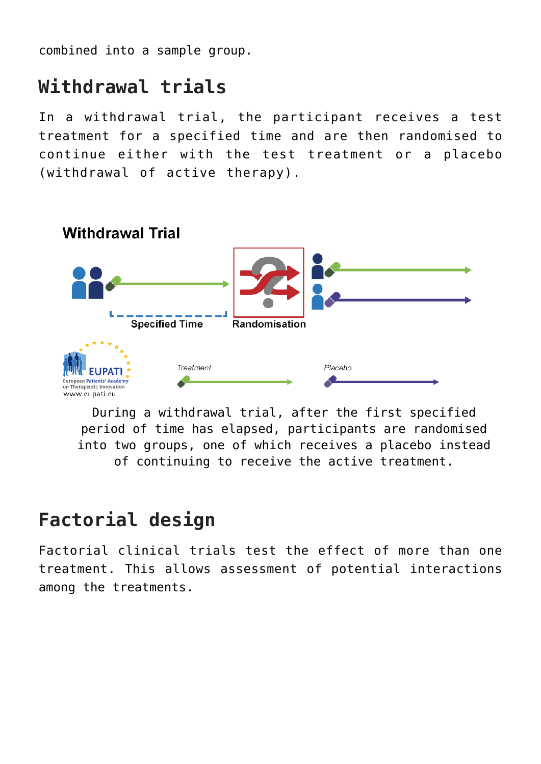combined into a sample group.

#### **Withdrawal trials**

In a withdrawal trial, the participant receives a test treatment for a specified time and are then randomised to continue either with the test treatment or a placebo (withdrawal of active therapy).



During a withdrawal trial, after the first specified period of time has elapsed, participants are randomised into two groups, one of which receives a placebo instead of continuing to receive the active treatment.

#### **Factorial design**

Factorial clinical trials test the effect of more than one treatment. This allows assessment of potential interactions among the treatments.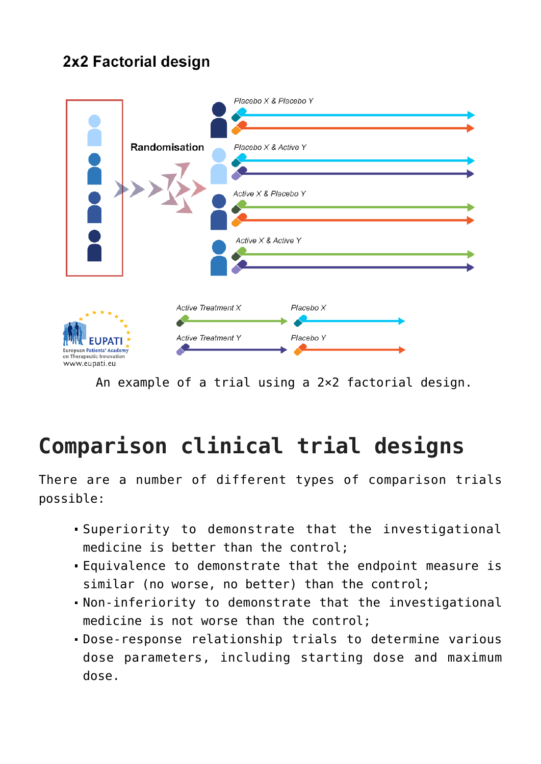#### 2x2 Factorial design



An example of a trial using a 2×2 factorial design.

# **Comparison clinical trial designs**

There are a number of different types of comparison trials possible:

- Superiority to demonstrate that the investigational medicine is better than the control;
- Equivalence to demonstrate that the endpoint measure is similar (no worse, no better) than the control;
- Non-inferiority to demonstrate that the investigational medicine is not worse than the control;
- Dose-response relationship trials to determine various dose parameters, including starting dose and maximum dose.